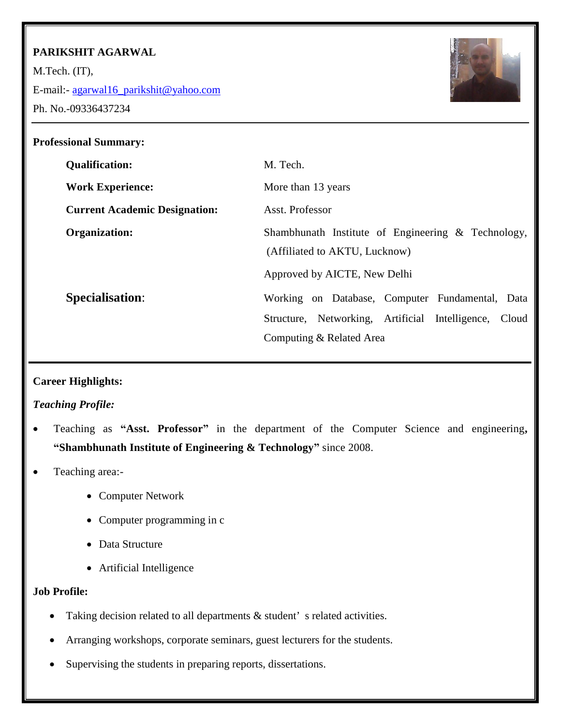# **PARIKSHIT AGARWAL**

M.Tech. (IT),

E-mail:- [agarwal16\\_parikshit@yahoo.com](mailto:agarwal16_parikshit@yahoo.com)

Ph. No.-09336437234



| <b>Professional Summary:</b>         |                                                                                      |
|--------------------------------------|--------------------------------------------------------------------------------------|
| <b>Qualification:</b>                | M. Tech.                                                                             |
| <b>Work Experience:</b>              | More than 13 years                                                                   |
| <b>Current Academic Designation:</b> | Asst. Professor                                                                      |
| Organization:                        | Shambhunath Institute of Engineering & Technology,<br>(Affiliated to AKTU, Lucknow)  |
|                                      | Approved by AICTE, New Delhi                                                         |
| <b>Specialisation:</b>               | Working on Database, Computer Fundamental, Data                                      |
|                                      | Structure, Networking, Artificial Intelligence,<br>Cloud<br>Computing & Related Area |

# **Career Highlights:**

# *Teaching Profile:*

- Teaching as **"Asst. Professor"** in the department of the Computer Science and engineering**, "Shambhunath Institute of Engineering & Technology"** since 2008.
- Teaching area:-
	- Computer Network
	- Computer programming in c
	- Data Structure
	- Artificial Intelligence

### **Job Profile:**

- Taking decision related to all departments  $\&$  student's related activities.
- Arranging workshops, corporate seminars, guest lecturers for the students.
- Supervising the students in preparing reports, dissertations.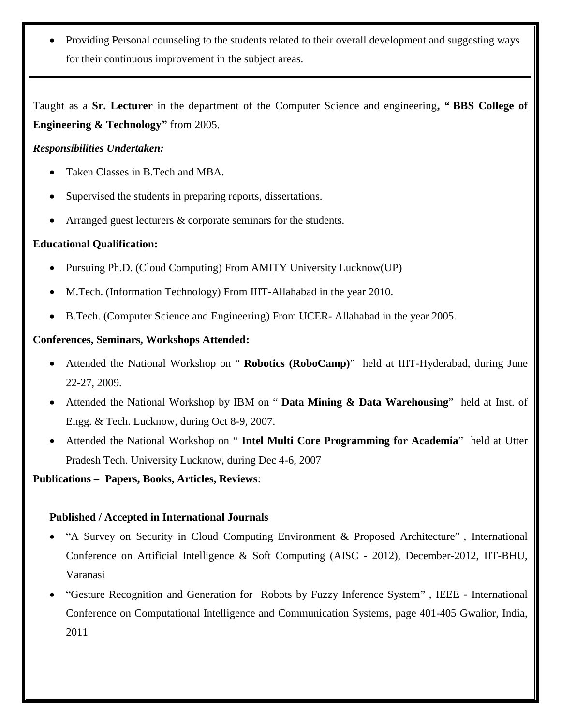Providing Personal counseling to the students related to their overall development and suggesting ways for their continuous improvement in the subject areas.

Taught as a **Sr. Lecturer** in the department of the Computer Science and engineering**, " BBS College of Engineering & Technology"** from 2005.

## *Responsibilities Undertaken:*

- Taken Classes in B.Tech and MBA.
- Supervised the students in preparing reports, dissertations.
- Arranged guest lecturers & corporate seminars for the students.

## **Educational Qualification:**

- Pursuing Ph.D. (Cloud Computing) From AMITY University Lucknow(UP)
- M.Tech. (Information Technology) From IIIT-Allahabad in the year 2010.
- B.Tech. (Computer Science and Engineering) From UCER- Allahabad in the year 2005.

## **Conferences, Seminars, Workshops Attended:**

- Attended the National Workshop on " **Robotics (RoboCamp)**" held at IIIT-Hyderabad, during June 22-27, 2009.
- Attended the National Workshop by IBM on " **Data Mining & Data Warehousing**" held at Inst. of Engg. & Tech. Lucknow, during Oct 8-9, 2007.
- Attended the National Workshop on " **Intel Multi Core Programming for Academia**" held at Utter Pradesh Tech. University Lucknow, during Dec 4-6, 2007

**Publications – Papers, Books, Articles, Reviews**:

### **Published / Accepted in International Journals**

- ["A Survey on Security in Cloud Computing Environment & Proposed Architecture"](http://www.academia.edu/8214409/A_Survey_on_Security_in_Cloud_Computing_Environment_and_Proposed_Architecture) , International Conference on Artificial Intelligence & Soft Computing (AISC - 2012), December-2012, IIT-BHU, Varanasi
- "Gesture Recognition and Generation for Robots by Fuzzy Inference System" , IEEE International Conference on Computational Intelligence and Communication Systems, page 401-405 Gwalior, India, 2011